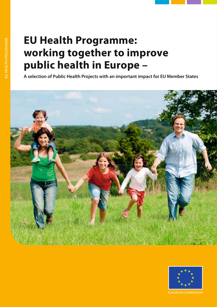# **EU Health Programme: working together to improve public health in Europe –**

**A selection of Public Health Projects with an important impact for EU Member States**





EUROPEAN COMMISSION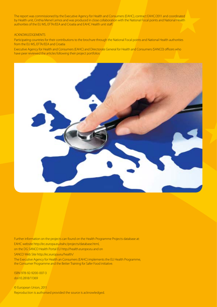The report was commissioned by the Executive Agency for Health and Consumers (EAHC), contract EAHC/2011 and coordinated by Health unit, Cinthia Menel Lemos and was produced in close collaboration with the National Focal points and National Health authorities of the EU MS, EFTA/EEA and Croatia and EAHC Health unit staff.

### ACKNOWLEDGEMENTS

Participating countries for their contributions to the brochure through the National Focal points and National Health authorities from the EU MS, EFTA/EEA and Croatia

Executive Agency for Health and Consumers (EAHC) and Directorate General for Health and Consumers (SANCO) officers who have peer reviewed the articles following their project portfolios



Further information on the projects can found on the Health Programme Projects database at: EAHC website http://ec.europa.eu/eahc/projects/database.html, on the DG SANCO Health Portal EU http://health.europe.eu and on SANCO Web Site http://ec.europa.eu/health/ The Executive Agency for Health an Consumers (EAHC) implements the EU Health Programme,

the Consumer Programme and the Better Training for Safer Food initiative.

ISBN 978-92-9200-007-3 doi:10.2818/11369

© European Union, 2011 Reproduction is authorised provided the source is acknowledged.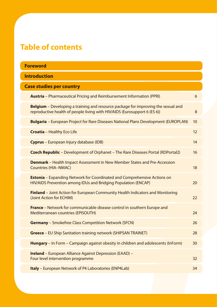# **Table of contents**

| <b>Foreword</b>     |                                                                                                                                                                       |    |  |  |
|---------------------|-----------------------------------------------------------------------------------------------------------------------------------------------------------------------|----|--|--|
| <b>Introduction</b> |                                                                                                                                                                       |    |  |  |
|                     | <b>Case studies per country</b>                                                                                                                                       |    |  |  |
|                     | <b>Austria</b> - Pharmaceutical Pricing and Reimbursement Information (PPRI)                                                                                          | 6  |  |  |
|                     | <b>Belgium</b> – Developing a training and resource package for improving the sexual and<br>reproductive health of people living with HIV/AIDS (Eurosupport 6 (ES 6)) | 8  |  |  |
|                     | <b>Bulgaria</b> – European Project for Rare Diseases National Plans Development (EUROPLAN)                                                                            | 10 |  |  |
|                     | <b>Croatia</b> - Healthy Eco Life                                                                                                                                     | 12 |  |  |
|                     | Cyprus - European Injury database (IDB)                                                                                                                               | 14 |  |  |
|                     | <b>Czech Republic</b> – Development of Orphanet – The Rare Diseases Portal (RDPortal2)                                                                                | 16 |  |  |
|                     | <b>Denmark</b> – Health Impact Assessment in New Member States and Pre-Accession<br><b>Countries (HIA-NMAC)</b>                                                       | 18 |  |  |
|                     | <b>Estonia</b> – Expanding Network for Coordinated and Comprehensive Actions on<br>HIV/AIDS Prevention among IDUs and Bridging Population (ENCAP)                     | 20 |  |  |
|                     | <b>Finland</b> – Joint Action for European Community Health Indicators and Monitoring<br>(Joint Action for ECHIM)                                                     | 22 |  |  |
|                     | <b>France</b> – Network for communicable disease control in southern Europe and<br><b>Mediterranean countries (EPISOUTH)</b>                                          | 24 |  |  |
|                     | <b>Germany</b> – Smokefree Class Competition Network (SFCN)                                                                                                           | 26 |  |  |
|                     | <b>Greece</b> – EU Ship Sanitation training network (SHIPSAN TRAINET)                                                                                                 | 28 |  |  |
|                     | Hungary - In Form - Campaign against obesity in children and adolescents (InForm)                                                                                     | 30 |  |  |
|                     | <b>Ireland</b> – European Alliance Against Depression (EAAD) –<br>Four level intervention programme                                                                   | 32 |  |  |
|                     | Italy - European Network of P4 Laboratories (ENP4Lab)                                                                                                                 | 34 |  |  |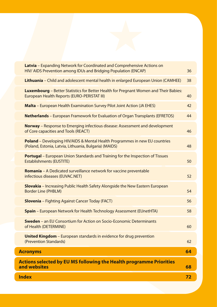| <b>Index</b>                                                                                                                                 |    |
|----------------------------------------------------------------------------------------------------------------------------------------------|----|
| <b>Actions selected by EU MS following the Health programme Priorities</b><br>and websites                                                   |    |
| <b>Acronyms</b>                                                                                                                              |    |
| <b>United Kingdom</b> – European standards in evidence for drug prevention<br>(Prevention Standards)                                         | 62 |
| <b>Sweden</b> – an EU Consortium for Action on Socio-Economic Determinants<br>of Health (DETERMINE)                                          | 60 |
| <b>Spain</b> – European Network for Health Technology Assessment (EUnetHTA)                                                                  | 58 |
| <b>Slovenia</b> - Fighting Against Cancer Today (FACT)                                                                                       | 56 |
| <b>Slovakia</b> – Increasing Public Health Safety Alongside the New Eastern European<br><b>Border Line (PHBLM)</b>                           | 54 |
| <b>Romania</b> – A Dedicated surveillance network for vaccine preventable<br>infectious diseases (EUVAC.NET)                                 | 52 |
| <b>Portugal</b> – European Union Standards and Training for the Inspection of Tissues<br><b>Establishments (EUSTITE)</b>                     | 50 |
| <b>Poland</b> – Developing HIV/AIDS & Mental Health Programmes in new EU countries<br>(Poland, Estonia, Latvia, Lithuania, Bulgaria) (MAIDS) | 48 |
| <b>Norway</b> – Response to Emerging infectious disease: Assessment and development<br>of Core capacities and Tools (REACT)                  | 46 |
| <b>Netherlands</b> - European Framework for Evaluation of Organ Transplants (EFRETOS)                                                        | 44 |
| Malta - European Health Examination Survey Pilot Joint Action (JA EHES)                                                                      | 42 |
| Luxembourg - Better Statistics for Better Health for Pregnant Women and Their Babies:<br>European Health Reports (EURO-PERISTAT III)         | 40 |
| Lithuania - Child and adolescent mental health in enlarged European Union (CAMHEE)                                                           | 38 |
| Latvia - Expanding Network for Coordinated and Comprehensive Actions on<br>HIV/ AIDS Prevention among IDUs and Bridging Population (ENCAP)   | 36 |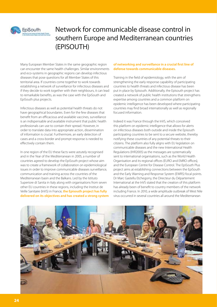

# Network for communicable disease control in southern Europe and Mediterranean countries (EPISOUTH)

Many European Member States in the same geographic region can encounter the same health challenges. Similar environments and eco-systems in geographic regions can develop infectious diseases that pose questions for all Member States of this territorial area. If countries come together to work towards establishing a network of surveillance for infectious diseases and if they decide to work together with their neighbours, it can lead to remarkable benefits, as was the case with the EpiSouth and EpiSouth plus projects.

Infectious diseases as well as potential health threats do not have geographical boundaries. Even for the few diseases that benefit from an efficacious and available vaccines, surveillance is an indispensable and available instrument that public health professionals can use to contain their spread. However, in order to translate data into appropriate action, dissemination of information is crucial. Furthermore, an early detection of cases and a cross-border and prompt response is needed to effectively contain them.

In one region of the EU these facts were astutely recognised and in the Year of the Mediterranean in 2005, a number of countries agreed to develop the EpiSouth project whose aim was to create a framework of collaboration on epidemiological issues in order to improve communicable diseases surveillance, communication and training across the countries of the Mediterranean basin and the Balkans. Led by the Istituto Superiore di Sanita in Italy along with organisations from seven other EU countries in these regions, including the Institut de Veille Sanitaire (InVS) in France, **the Episouth project has fully delivered on its objectives and has created a strong system** 

## of networking and surveillance in a crucial first line of **defense towards communicable diseases.**

Training in the field of epidemiology, with the aim of strengthening the early response capability of participating countries to health threats and infectious disease has been put in place by Episouth. Additionally, the Episouth project has created a network of public health institutions that strengthens expertise among countries and a common platform on epidemic intelligence has been developed where participating countries may find broad internationally as well as regionally focused information.

Indeed it was France through the InVS, which conceived this platform on epidemic intelligence that allows for alerts on infectious diseases both outside and inside the Episouth participating countries to be sent to a secure website, thereby notifying these countries of any potential threats to their citizens. The platform also fully aligns with EU legislation on communicable diseases and the new International Health Regulations (IHR2005) as the messages are systematically sent to international organisations, such as the World Health Organisation and its regional offices (EURO and EMRO offices), and the European Centre for Disease Control. The EpiSouth Plus project aims at establishing connections between the EpiSouth and the Early Warning and Response System (EWRS) focal points. Dr Marc Gastellu Etchegorry, the Directeur du Département International at the InVS stated that the creation of this platform has already been of benefit to country members of the network including France. In 2010, a wide amplitude outbreak of West Nile virus occurred in several countries all around the Mediterranean